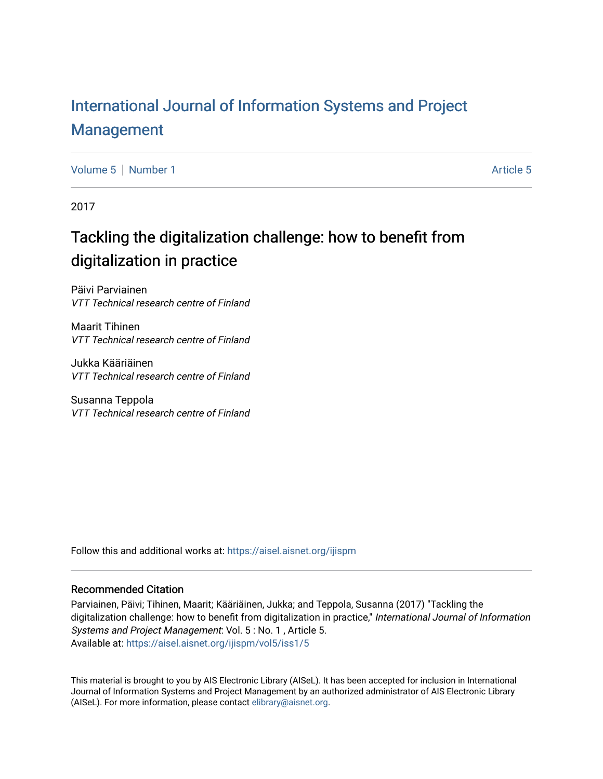## [International Journal of Information Systems and Project](https://aisel.aisnet.org/ijispm)  [Management](https://aisel.aisnet.org/ijispm)

[Volume 5](https://aisel.aisnet.org/ijispm/vol5) [Number 1](https://aisel.aisnet.org/ijispm/vol5/iss1) [Article 5](https://aisel.aisnet.org/ijispm/vol5/iss1/5) Article 5 Article 5

2017

## Tackling the digitalization challenge: how to benefit from digitalization in practice

Päivi Parviainen VTT Technical research centre of Finland

Maarit Tihinen VTT Technical research centre of Finland

Jukka Kääriäinen VTT Technical research centre of Finland

Susanna Teppola VTT Technical research centre of Finland

Follow this and additional works at: [https://aisel.aisnet.org/ijispm](https://aisel.aisnet.org/ijispm?utm_source=aisel.aisnet.org%2Fijispm%2Fvol5%2Fiss1%2F5&utm_medium=PDF&utm_campaign=PDFCoverPages) 

## Recommended Citation

Parviainen, Päivi; Tihinen, Maarit; Kääriäinen, Jukka; and Teppola, Susanna (2017) "Tackling the digitalization challenge: how to benefit from digitalization in practice," International Journal of Information Systems and Project Management: Vol. 5 : No. 1 , Article 5. Available at: [https://aisel.aisnet.org/ijispm/vol5/iss1/5](https://aisel.aisnet.org/ijispm/vol5/iss1/5?utm_source=aisel.aisnet.org%2Fijispm%2Fvol5%2Fiss1%2F5&utm_medium=PDF&utm_campaign=PDFCoverPages) 

This material is brought to you by AIS Electronic Library (AISeL). It has been accepted for inclusion in International Journal of Information Systems and Project Management by an authorized administrator of AIS Electronic Library (AISeL). For more information, please contact [elibrary@aisnet.org](mailto:elibrary@aisnet.org%3E).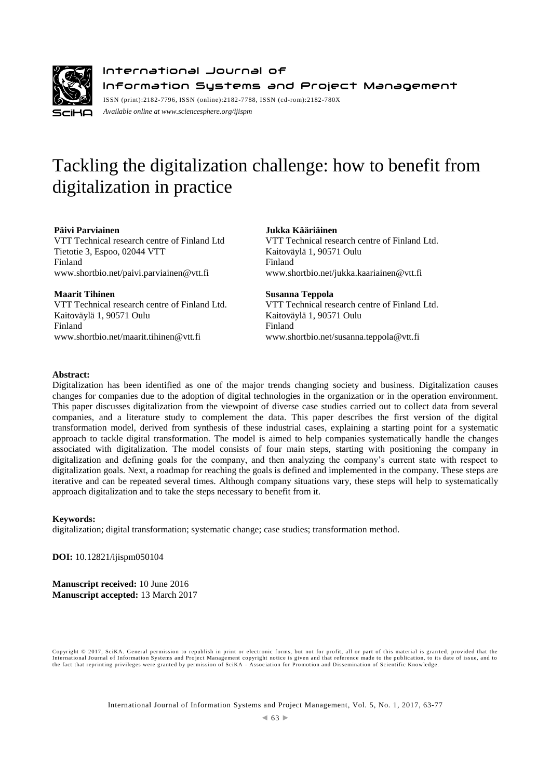

International Journal of Information Systems and Project Management ISSN (print):2182-7796, ISSN (online):2182-7788, ISSN (cd-rom):2182-780X

*Available online a[t www.sciencesphere.org/ijispm](http://www.sciencesphere.org/ijispm)*

# Tackling the digitalization challenge: how to benefit from digitalization in practice

#### **Päivi Parviainen**

VTT Technical research centre of Finland Ltd Tietotie 3, Espoo, 02044 VTT Finland www.shortbio.net/paivi.parviainen@vtt.fi

#### **Maarit Tihinen**

VTT Technical research centre of Finland Ltd. Kaitoväylä 1, 90571 Oulu Finland [www.shortbio.net/maarit.tihinen@vtt.fi](http://www.shortbio.net/maarit.tihinen@vtt.fi)

#### **Jukka Kääriäinen**

VTT Technical research centre of Finland Ltd. Kaitoväylä 1, 90571 Oulu Finland www.shortbio.net/jukka.kaariainen@vtt.fi

#### **Susanna Teppola**

VTT Technical research centre of Finland Ltd. Kaitoväylä 1, 90571 Oulu Finland www.shortbio.net[/susanna.teppola@vtt.fi](mailto:susanna.teppola@vtt.fi)

## **Abstract:**

Digitalization has been identified as one of the major trends changing society and business. Digitalization causes changes for companies due to the adoption of digital technologies in the organization or in the operation environment. This paper discusses digitalization from the viewpoint of diverse case studies carried out to collect data from several companies, and a literature study to complement the data. This paper describes the first version of the digital transformation model, derived from synthesis of these industrial cases, explaining a starting point for a systematic approach to tackle digital transformation. The model is aimed to help companies systematically handle the changes associated with digitalization. The model consists of four main steps, starting with positioning the company in digitalization and defining goals for the company, and then analyzing the company's current state with respect to digitalization goals. Next, a roadmap for reaching the goals is defined and implemented in the company. These steps are iterative and can be repeated several times. Although company situations vary, these steps will help to systematically approach digitalization and to take the steps necessary to benefit from it.

## **Keywords:**

digitalization; digital transformation; systematic change; case studies; transformation method.

**DOI:** 10.12821/ijispm050104

**Manuscript received:** 10 June 2016 **Manuscript accepted:** 13 March 2017

Copyright © 2017, SciKA. General permission to republish in print or electronic forms, but not for profit, all or part of this material is gran ted, provided that the International Journal of Information Systems and Project Management copyright notice is given and that reference made to the publication, to its date of issue, and to<br>the fact that reprinting privileges were granted by per

International Journal of Information Systems and Project Management, Vol. 5, No. 1, 2017, 63-77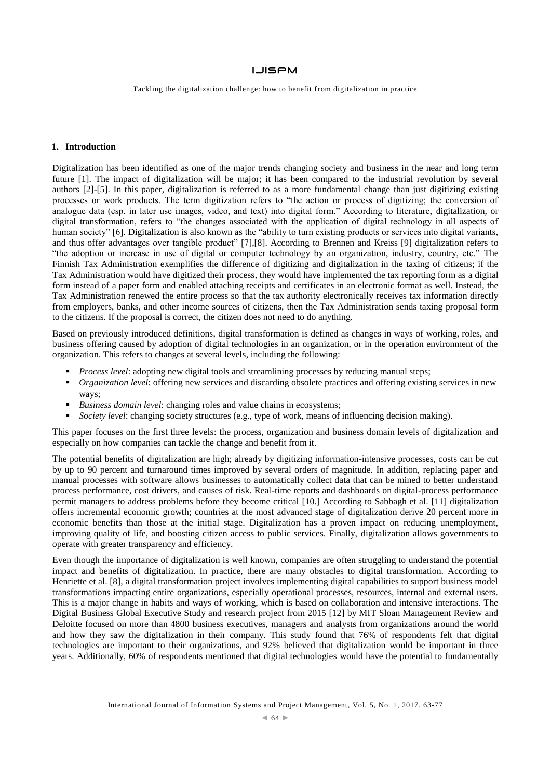Tackling the digitalization challenge: how to benefit from digitalization in practice

## **1. Introduction**

Digitalization has been identified as one of the major trends changing society and business in the near and long term future [1]. The impact of digitalization will be major; it has been compared to the industrial revolution by several authors [2]-[5]. In this paper, digitalization is referred to as a more fundamental change than just digitizing existing processes or work products. The term digitization refers to "the action or process of digitizing; the conversion of analogue data (esp. in later use images, video, and text) into digital form." According to literature, digitalization, or digital transformation, refers to "the changes associated with the application of digital technology in all aspects of human society" [6]. Digitalization is also known as the "ability to turn existing products or services into digital variants, and thus offer advantages over tangible product" [7],[8]. According to Brennen and Kreiss [9] digitalization refers to "the adoption or increase in use of digital or computer technology by an organization, industry, country, etc." The Finnish Tax Administration exemplifies the difference of digitizing and digitalization in the taxing of citizens; if the Tax Administration would have digitized their process, they would have implemented the tax reporting form as a digital form instead of a paper form and enabled attaching receipts and certificates in an electronic format as well. Instead, the Tax Administration renewed the entire process so that the tax authority electronically receives tax information directly from employers, banks, and other income sources of citizens, then the Tax Administration sends taxing proposal form to the citizens. If the proposal is correct, the citizen does not need to do anything.

Based on previously introduced definitions, digital transformation is defined as changes in ways of working, roles, and business offering caused by adoption of digital technologies in an organization, or in the operation environment of the organization. This refers to changes at several levels, including the following:

- *Process level*: adopting new digital tools and streamlining processes by reducing manual steps;
- *Organization level*: offering new services and discarding obsolete practices and offering existing services in new ways;
- *Business domain level*: changing roles and value chains in ecosystems;
- *Society level*: changing society structures (e.g., type of work, means of influencing decision making).

This paper focuses on the first three levels: the process, organization and business domain levels of digitalization and especially on how companies can tackle the change and benefit from it.

The potential benefits of digitalization are high; already by digitizing information-intensive processes, costs can be cut by up to 90 percent and turnaround times improved by several orders of magnitude. In addition, replacing paper and manual processes with software allows businesses to automatically collect data that can be mined to better understand process performance, cost drivers, and causes of risk. Real-time reports and dashboards on digital-process performance permit managers to address problems before they become critical [10.] According to Sabbagh et al. [11] digitalization offers incremental economic growth; countries at the most advanced stage of digitalization derive 20 percent more in economic benefits than those at the initial stage. Digitalization has a proven impact on reducing unemployment, improving quality of life, and boosting citizen access to public services. Finally, digitalization allows governments to operate with greater transparency and efficiency.

Even though the importance of digitalization is well known, companies are often struggling to understand the potential impact and benefits of digitalization. In practice, there are many obstacles to digital transformation. According to Henriette et al. [8], a digital transformation project involves implementing digital capabilities to support business model transformations impacting entire organizations, especially operational processes, resources, internal and external users. This is a major change in habits and ways of working, which is based on collaboration and intensive interactions. The Digital Business Global Executive Study and research project from 2015 [12] by MIT Sloan Management Review and Deloitte focused on more than 4800 business executives, managers and analysts from organizations around the world and how they saw the digitalization in their company. This study found that 76% of respondents felt that digital technologies are important to their organizations, and 92% believed that digitalization would be important in three years. Additionally, 60% of respondents mentioned that digital technologies would have the potential to fundamentally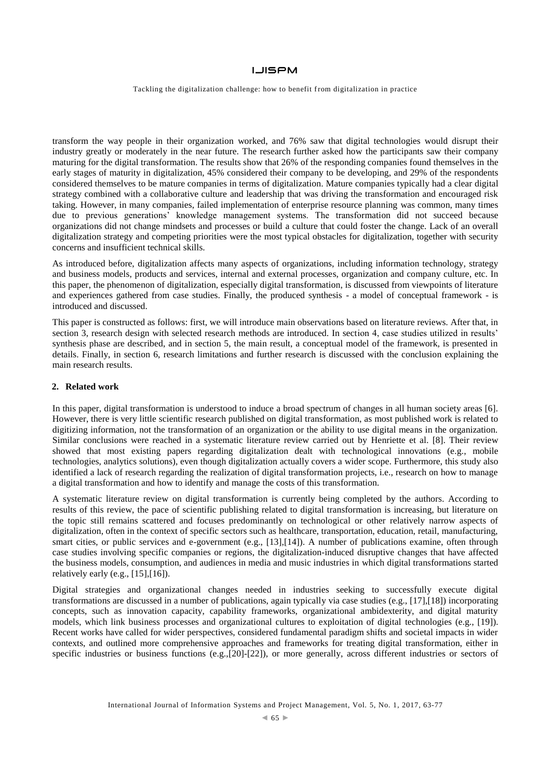Tackling the digitalization challenge: how to benefit from digitalization in practice

transform the way people in their organization worked, and 76% saw that digital technologies would disrupt their industry greatly or moderately in the near future. The research further asked how the participants saw their company maturing for the digital transformation. The results show that 26% of the responding companies found themselves in the early stages of maturity in digitalization, 45% considered their company to be developing, and 29% of the respondents considered themselves to be mature companies in terms of digitalization. Mature companies typically had a clear digital strategy combined with a collaborative culture and leadership that was driving the transformation and encouraged risk taking. However, in many companies, failed implementation of enterprise resource planning was common, many times due to previous generations' knowledge management systems. The transformation did not succeed because organizations did not change mindsets and processes or build a culture that could foster the change. Lack of an overall digitalization strategy and competing priorities were the most typical obstacles for digitalization, together with security concerns and insufficient technical skills.

As introduced before, digitalization affects many aspects of organizations, including information technology, strategy and business models, products and services, internal and external processes, organization and company culture, etc. In this paper, the phenomenon of digitalization, especially digital transformation, is discussed from viewpoints of literature and experiences gathered from case studies. Finally, the produced synthesis - a model of conceptual framework - is introduced and discussed.

This paper is constructed as follows: first, we will introduce main observations based on literature reviews. After that, in section 3, research design with selected research methods are introduced. In section 4, case studies utilized in results' synthesis phase are described, and in section 5, the main result, a conceptual model of the framework, is presented in details. Finally, in section 6, research limitations and further research is discussed with the conclusion explaining the main research results.

#### **2. Related work**

In this paper, digital transformation is understood to induce a broad spectrum of changes in all human society areas [6]. However, there is very little scientific research published on digital transformation, as most published work is related to digitizing information, not the transformation of an organization or the ability to use digital means in the organization. Similar conclusions were reached in a systematic literature review carried out by Henriette et al. [8]. Their review showed that most existing papers regarding digitalization dealt with technological innovations (e.g., mobile technologies, analytics solutions), even though digitalization actually covers a wider scope. Furthermore, this study also identified a lack of research regarding the realization of digital transformation projects, i.e., research on how to manage a digital transformation and how to identify and manage the costs of this transformation.

A systematic literature review on digital transformation is currently being completed by the authors. According to results of this review, the pace of scientific publishing related to digital transformation is increasing, but literature on the topic still remains scattered and focuses predominantly on technological or other relatively narrow aspects of digitalization, often in the context of specific sectors such as healthcare, transportation, education, retail, manufacturing, smart cities, or public services and e-government (e.g., [13],[14]). A number of publications examine, often through case studies involving specific companies or regions, the digitalization-induced disruptive changes that have affected the business models, consumption, and audiences in media and music industries in which digital transformations started relatively early (e.g.,  $[15]$ , $[16]$ ).

Digital strategies and organizational changes needed in industries seeking to successfully execute digital transformations are discussed in a number of publications, again typically via case studies (e.g., [17],[18]) incorporating concepts, such as innovation capacity, capability frameworks, organizational ambidexterity, and digital maturity models, which link business processes and organizational cultures to exploitation of digital technologies (e.g., [19]). Recent works have called for wider perspectives, considered fundamental paradigm shifts and societal impacts in wider contexts, and outlined more comprehensive approaches and frameworks for treating digital transformation, either in specific industries or business functions (e.g.,[20]-[22]), or more generally, across different industries or sectors of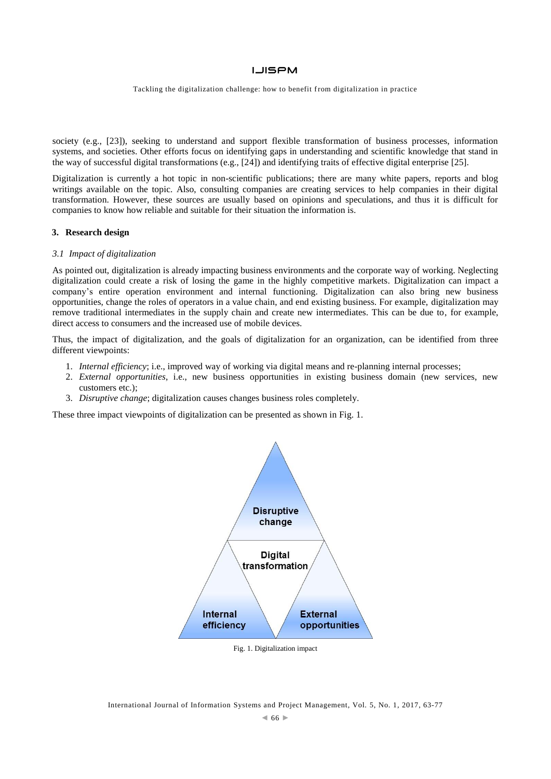Tackling the digitalization challenge: how to benefit from digitalization in practice

society (e.g., [23]), seeking to understand and support flexible transformation of business processes, information systems, and societies. Other efforts focus on identifying gaps in understanding and scientific knowledge that stand in the way of successful digital transformations (e.g., [24]) and identifying traits of effective digital enterprise [25].

Digitalization is currently a hot topic in non-scientific publications; there are many white papers, reports and blog writings available on the topic. Also, consulting companies are creating services to help companies in their digital transformation. However, these sources are usually based on opinions and speculations, and thus it is difficult for companies to know how reliable and suitable for their situation the information is.

#### **3. Research design**

#### *3.1 Impact of digitalization*

As pointed out, digitalization is already impacting business environments and the corporate way of working. Neglecting digitalization could create a risk of losing the game in the highly competitive markets. Digitalization can impact a company's entire operation environment and internal functioning. Digitalization can also bring new business opportunities, change the roles of operators in a value chain, and end existing business. For example, digitalization may remove traditional intermediates in the supply chain and create new intermediates. This can be due to, for example, direct access to consumers and the increased use of mobile devices.

Thus, the impact of digitalization, and the goals of digitalization for an organization, can be identified from three different viewpoints:

- 1. *Internal efficiency*; i.e., improved way of working via digital means and re-planning internal processes;
- 2. *External opportunities*, i.e., new business opportunities in existing business domain (new services, new customers etc.);
- 3. *Disruptive change*; digitalization causes changes business roles completely.

These three impact viewpoints of digitalization can be presented as shown in [Fig. 1.](#page-4-0)



<span id="page-4-0"></span>Fig. 1. Digitalization impact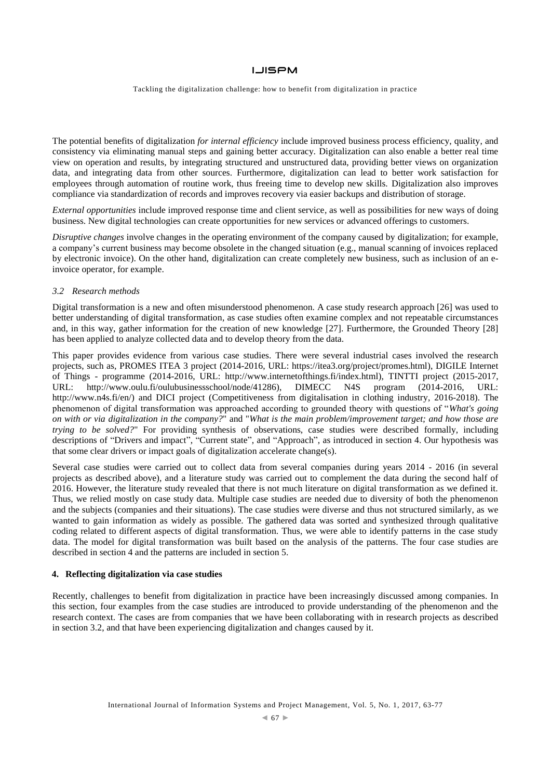Tackling the digitalization challenge: how to benefit from digitalization in practice

The potential benefits of digitalization *for internal efficiency* include improved business process efficiency, quality, and consistency via eliminating manual steps and gaining better accuracy. Digitalization can also enable a better real time view on operation and results, by integrating structured and unstructured data, providing better views on organization data, and integrating data from other sources. Furthermore, digitalization can lead to better work satisfaction for employees through automation of routine work, thus freeing time to develop new skills. Digitalization also improves compliance via standardization of records and improves recovery via easier backups and distribution of storage.

*External opportunities* include improved response time and client service, as well as possibilities for new ways of doing business. New digital technologies can create opportunities for new services or advanced offerings to customers.

*Disruptive changes* involve changes in the operating environment of the company caused by digitalization; for example, a company's current business may become obsolete in the changed situation (e.g., manual scanning of invoices replaced by electronic invoice). On the other hand, digitalization can create completely new business, such as inclusion of an einvoice operator, for example.

#### *3.2 Research methods*

Digital transformation is a new and often misunderstood phenomenon. A case study research approach [26] was used to better understanding of digital transformation, as case studies often examine complex and not repeatable circumstances and, in this way, gather information for the creation of new knowledge [27]. Furthermore, the Grounded Theory [28] has been applied to analyze collected data and to develop theory from the data.

This paper provides evidence from various case studies. There were several industrial cases involved the research projects, such as, PROMES ITEA 3 project (2014-2016, URL: https://itea3.org/project/promes.html), DIGILE Internet of Things - programme (2014-2016, URL: http://www.internetofthings.fi/index.html), TINTTI project (2015-2017, URL: [http://www.oulu.fi/oulubusinessschool/node/41286\)](http://www.oulu.fi/oulubusinessschool/node/41286), DIMECC N4S program (2014-2016, URL: [http://www.n4s.fi/en/\)](http://www.n4s.fi/en/) and DICI project (Competitiveness from digitalisation in clothing industry, 2016-2018). The phenomenon of digital transformation was approached according to grounded theory with questions of "*What's going on with or via digitalization in the company?*" and "*What is the main problem/improvement target; and how those are trying to be solved?*" For providing synthesis of observations, case studies were described formally, including descriptions of "Drivers and impact", "Current state", and "Approach", as introduced in section 4. Our hypothesis was that some clear drivers or impact goals of digitalization accelerate change(s).

Several case studies were carried out to collect data from several companies during years 2014 - 2016 (in several projects as described above), and a literature study was carried out to complement the data during the second half of 2016. However, the literature study revealed that there is not much literature on digital transformation as we defined it. Thus, we relied mostly on case study data. Multiple case studies are needed due to diversity of both the phenomenon and the subjects (companies and their situations). The case studies were diverse and thus not structured similarly, as we wanted to gain information as widely as possible. The gathered data was sorted and synthesized through qualitative coding related to different aspects of digital transformation. Thus, we were able to identify patterns in the case study data. The model for digital transformation was built based on the analysis of the patterns. The four case studies are described in section 4 and the patterns are included in section 5.

#### **4. Reflecting digitalization via case studies**

Recently, challenges to benefit from digitalization in practice have been increasingly discussed among companies. In this section, four examples from the case studies are introduced to provide understanding of the phenomenon and the research context. The cases are from companies that we have been collaborating with in research projects as described in section 3.2, and that have been experiencing digitalization and changes caused by it.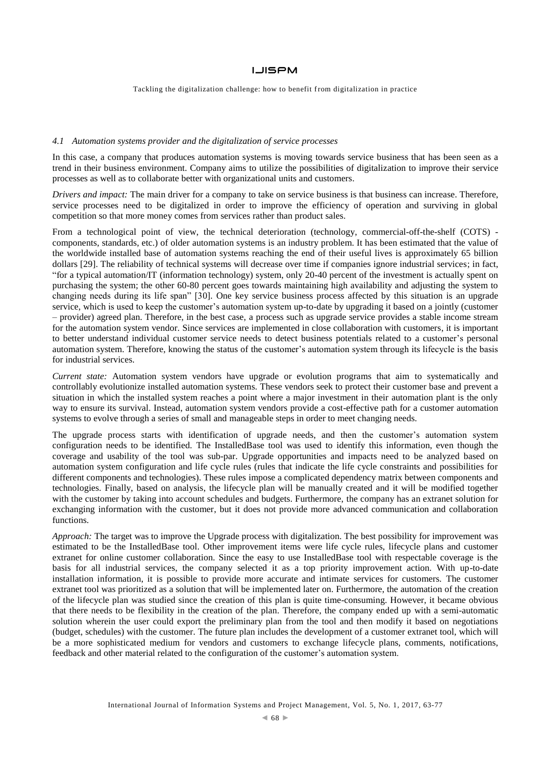Tackling the digitalization challenge: how to benefit from digitalization in practice

#### *4.1 Automation systems provider and the digitalization of service processes*

In this case, a company that produces automation systems is moving towards service business that has been seen as a trend in their business environment. Company aims to utilize the possibilities of digitalization to improve their service processes as well as to collaborate better with organizational units and customers.

*Drivers and impact:* The main driver for a company to take on service business is that business can increase. Therefore, service processes need to be digitalized in order to improve the efficiency of operation and surviving in global competition so that more money comes from services rather than product sales.

From a technological point of view, the technical deterioration (technology, commercial-off-the-shelf (COTS) components, standards, etc.) of older automation systems is an industry problem. It has been estimated that the value of the worldwide installed base of automation systems reaching the end of their useful lives is approximately 65 billion dollars [29]. The reliability of technical systems will decrease over time if companies ignore industrial services; in fact, "for a typical automation/IT (information technology) system, only 20-40 percent of the investment is actually spent on purchasing the system; the other 60-80 percent goes towards maintaining high availability and adjusting the system to changing needs during its life span" [30]. One key service business process affected by this situation is an upgrade service, which is used to keep the customer's automation system up-to-date by upgrading it based on a jointly (customer – provider) agreed plan. Therefore, in the best case, a process such as upgrade service provides a stable income stream for the automation system vendor. Since services are implemented in close collaboration with customers, it is important to better understand individual customer service needs to detect business potentials related to a customer's personal automation system. Therefore, knowing the status of the customer's automation system through its lifecycle is the basis for industrial services.

*Current state:* Automation system vendors have upgrade or evolution programs that aim to systematically and controllably evolutionize installed automation systems. These vendors seek to protect their customer base and prevent a situation in which the installed system reaches a point where a major investment in their automation plant is the only way to ensure its survival. Instead, automation system vendors provide a cost-effective path for a customer automation systems to evolve through a series of small and manageable steps in order to meet changing needs.

The upgrade process starts with identification of upgrade needs, and then the customer's automation system configuration needs to be identified. The InstalledBase tool was used to identify this information, even though the coverage and usability of the tool was sub-par. Upgrade opportunities and impacts need to be analyzed based on automation system configuration and life cycle rules (rules that indicate the life cycle constraints and possibilities for different components and technologies). These rules impose a complicated dependency matrix between components and technologies. Finally, based on analysis, the lifecycle plan will be manually created and it will be modified together with the customer by taking into account schedules and budgets. Furthermore, the company has an extranet solution for exchanging information with the customer, but it does not provide more advanced communication and collaboration functions.

*Approach:* The target was to improve the Upgrade process with digitalization. The best possibility for improvement was estimated to be the InstalledBase tool. Other improvement items were life cycle rules, lifecycle plans and customer extranet for online customer collaboration. Since the easy to use InstalledBase tool with respectable coverage is the basis for all industrial services, the company selected it as a top priority improvement action. With up-to-date installation information, it is possible to provide more accurate and intimate services for customers. The customer extranet tool was prioritized as a solution that will be implemented later on. Furthermore, the automation of the creation of the lifecycle plan was studied since the creation of this plan is quite time-consuming. However, it became obvious that there needs to be flexibility in the creation of the plan. Therefore, the company ended up with a semi-automatic solution wherein the user could export the preliminary plan from the tool and then modify it based on negotiations (budget, schedules) with the customer. The future plan includes the development of a customer extranet tool, which will be a more sophisticated medium for vendors and customers to exchange lifecycle plans, comments, notifications, feedback and other material related to the configuration of the customer's automation system.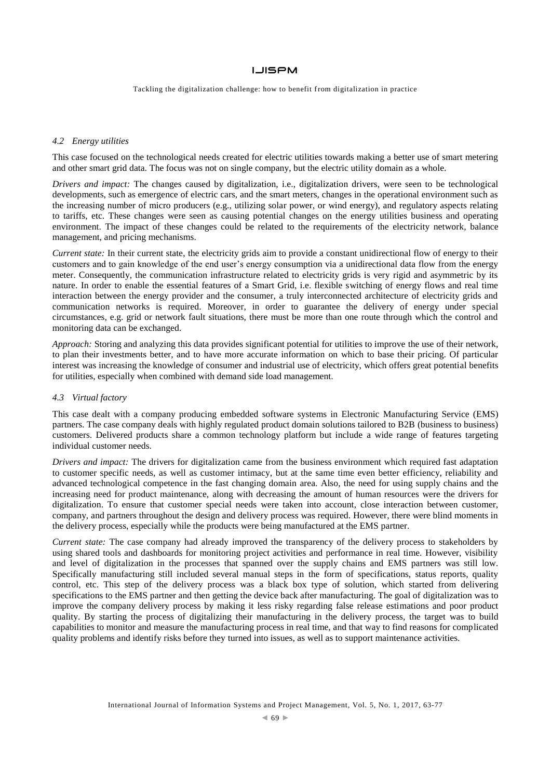Tackling the digitalization challenge: how to benefit from digitalization in practice

#### *4.2 Energy utilities*

This case focused on the technological needs created for electric utilities towards making a better use of smart metering and other smart grid data. The focus was not on single company, but the electric utility domain as a whole.

*Drivers and impact:* The changes caused by digitalization, i.e., digitalization drivers, were seen to be technological developments, such as emergence of electric cars, and the smart meters, changes in the operational environment such as the increasing number of micro producers (e.g., utilizing solar power, or wind energy), and regulatory aspects relating to tariffs, etc. These changes were seen as causing potential changes on the energy utilities business and operating environment. The impact of these changes could be related to the requirements of the electricity network, balance management, and pricing mechanisms.

*Current state:* In their current state, the electricity grids aim to provide a constant unidirectional flow of energy to their customers and to gain knowledge of the end user's energy consumption via a unidirectional data flow from the energy meter. Consequently, the communication infrastructure related to electricity grids is very rigid and asymmetric by its nature. In order to enable the essential features of a Smart Grid, i.e. flexible switching of energy flows and real time interaction between the energy provider and the consumer, a truly interconnected architecture of electricity grids and communication networks is required. Moreover, in order to guarantee the delivery of energy under special circumstances, e.g. grid or network fault situations, there must be more than one route through which the control and monitoring data can be exchanged.

*Approach:* Storing and analyzing this data provides significant potential for utilities to improve the use of their network, to plan their investments better, and to have more accurate information on which to base their pricing. Of particular interest was increasing the knowledge of consumer and industrial use of electricity, which offers great potential benefits for utilities, especially when combined with demand side load management.

#### *4.3 Virtual factory*

This case dealt with a company producing embedded software systems in Electronic Manufacturing Service (EMS) partners. The case company deals with highly regulated product domain solutions tailored to B2B (business to business) customers. Delivered products share a common technology platform but include a wide range of features targeting individual customer needs.

*Drivers and impact:* The drivers for digitalization came from the business environment which required fast adaptation to customer specific needs, as well as customer intimacy, but at the same time even better efficiency, reliability and advanced technological competence in the fast changing domain area. Also, the need for using supply chains and the increasing need for product maintenance, along with decreasing the amount of human resources were the drivers for digitalization. To ensure that customer special needs were taken into account, close interaction between customer, company, and partners throughout the design and delivery process was required. However, there were blind moments in the delivery process, especially while the products were being manufactured at the EMS partner.

*Current state:* The case company had already improved the transparency of the delivery process to stakeholders by using shared tools and dashboards for monitoring project activities and performance in real time. However, visibility and level of digitalization in the processes that spanned over the supply chains and EMS partners was still low. Specifically manufacturing still included several manual steps in the form of specifications, status reports, quality control, etc. This step of the delivery process was a black box type of solution, which started from delivering specifications to the EMS partner and then getting the device back after manufacturing. The goal of digitalization was to improve the company delivery process by making it less risky regarding false release estimations and poor product quality. By starting the process of digitalizing their manufacturing in the delivery process, the target was to build capabilities to monitor and measure the manufacturing process in real time, and that way to find reasons for complicated quality problems and identify risks before they turned into issues, as well as to support maintenance activities.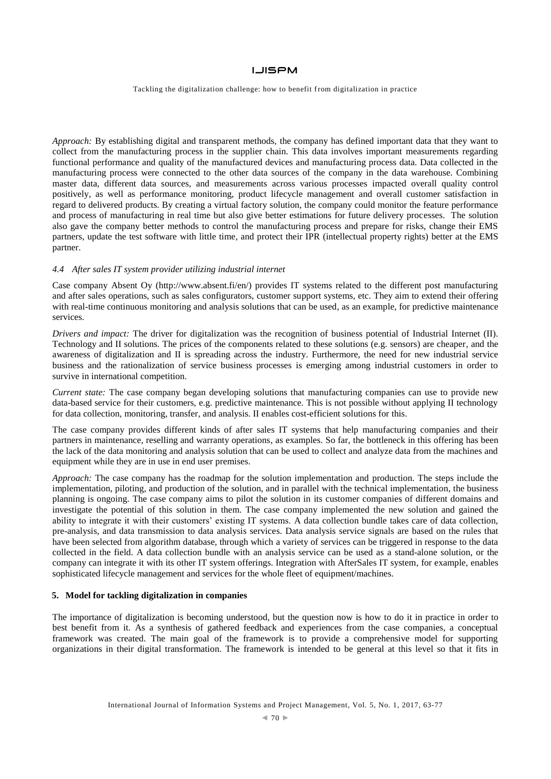Tackling the digitalization challenge: how to benefit from digitalization in practice

*Approach:* By establishing digital and transparent methods, the company has defined important data that they want to collect from the manufacturing process in the supplier chain. This data involves important measurements regarding functional performance and quality of the manufactured devices and manufacturing process data. Data collected in the manufacturing process were connected to the other data sources of the company in the data warehouse. Combining master data, different data sources, and measurements across various processes impacted overall quality control positively, as well as performance monitoring, product lifecycle management and overall customer satisfaction in regard to delivered products. By creating a virtual factory solution, the company could monitor the feature performance and process of manufacturing in real time but also give better estimations for future delivery processes. The solution also gave the company better methods to control the manufacturing process and prepare for risks, change their EMS partners, update the test software with little time, and protect their IPR (intellectual property rights) better at the EMS partner.

## *4.4 After sales IT system provider utilizing industrial internet*

Case company Absent Oy (http://www.absent.fi/en/) provides IT systems related to the different post manufacturing and after sales operations, such as sales configurators, customer support systems, etc. They aim to extend their offering with real-time continuous monitoring and analysis solutions that can be used, as an example, for predictive maintenance services.

*Drivers and impact:* The driver for digitalization was the recognition of business potential of Industrial Internet (II). Technology and II solutions. The prices of the components related to these solutions (e.g. sensors) are cheaper, and the awareness of digitalization and II is spreading across the industry. Furthermore, the need for new industrial service business and the rationalization of service business processes is emerging among industrial customers in order to survive in international competition.

*Current state:* The case company began developing solutions that manufacturing companies can use to provide new data-based service for their customers, e.g. predictive maintenance. This is not possible without applying II technology for data collection, monitoring, transfer, and analysis. II enables cost-efficient solutions for this.

The case company provides different kinds of after sales IT systems that help manufacturing companies and their partners in maintenance, reselling and warranty operations, as examples. So far, the bottleneck in this offering has been the lack of the data monitoring and analysis solution that can be used to collect and analyze data from the machines and equipment while they are in use in end user premises.

*Approach:* The case company has the roadmap for the solution implementation and production. The steps include the implementation, piloting, and production of the solution, and in parallel with the technical implementation, the business planning is ongoing. The case company aims to pilot the solution in its customer companies of different domains and investigate the potential of this solution in them. The case company implemented the new solution and gained the ability to integrate it with their customers' existing IT systems. A data collection bundle takes care of data collection, pre-analysis, and data transmission to data analysis services. Data analysis service signals are based on the rules that have been selected from algorithm database, through which a variety of services can be triggered in response to the data collected in the field. A data collection bundle with an analysis service can be used as a stand-alone solution, or the company can integrate it with its other IT system offerings. Integration with AfterSales IT system, for example, enables sophisticated lifecycle management and services for the whole fleet of equipment/machines.

#### **5. Model for tackling digitalization in companies**

The importance of digitalization is becoming understood, but the question now is how to do it in practice in order to best benefit from it. As a synthesis of gathered feedback and experiences from the case companies, a conceptual framework was created. The main goal of the framework is to provide a comprehensive model for supporting organizations in their digital transformation. The framework is intended to be general at this level so that it fits in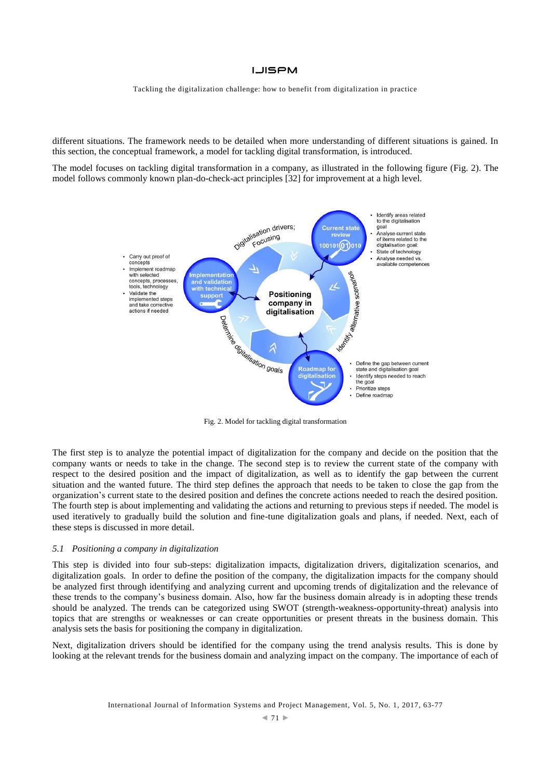Tackling the digitalization challenge: how to benefit from digitalization in practice

different situations. The framework needs to be detailed when more understanding of different situations is gained. In this section, the conceptual framework, a model for tackling digital transformation, is introduced.

The model focuses on tackling digital transformation in a company, as illustrated in the following figure [\(Fig. 2\)](#page-9-0). The model follows commonly known plan-do-check-act principles [32] for improvement at a high level.



Fig. 2. Model for tackling digital transformation

<span id="page-9-0"></span>The first step is to analyze the potential impact of digitalization for the company and decide on the position that the company wants or needs to take in the change. The second step is to review the current state of the company with respect to the desired position and the impact of digitalization, as well as to identify the gap between the current situation and the wanted future. The third step defines the approach that needs to be taken to close the gap from the organization's current state to the desired position and defines the concrete actions needed to reach the desired position. The fourth step is about implementing and validating the actions and returning to previous steps if needed. The model is used iteratively to gradually build the solution and fine-tune digitalization goals and plans, if needed. Next, each of these steps is discussed in more detail.

#### *5.1 Positioning a company in digitalization*

This step is divided into four sub-steps: digitalization impacts, digitalization drivers, digitalization scenarios, and digitalization goals. In order to define the position of the company, the digitalization impacts for the company should be analyzed first through identifying and analyzing current and upcoming trends of digitalization and the relevance of these trends to the company's business domain. Also, how far the business domain already is in adopting these trends should be analyzed. The trends can be categorized using SWOT (strength-weakness-opportunity-threat) analysis into topics that are strengths or weaknesses or can create opportunities or present threats in the business domain. This analysis sets the basis for positioning the company in digitalization.

Next, digitalization drivers should be identified for the company using the trend analysis results. This is done by looking at the relevant trends for the business domain and analyzing impact on the company. The importance of each of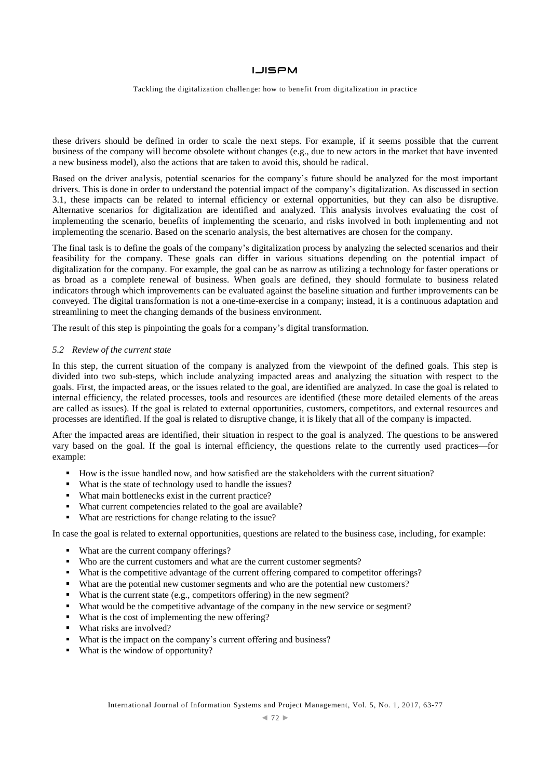Tackling the digitalization challenge: how to benefit from digitalization in practice

these drivers should be defined in order to scale the next steps. For example, if it seems possible that the current business of the company will become obsolete without changes (e.g., due to new actors in the market that have invented a new business model), also the actions that are taken to avoid this, should be radical.

Based on the driver analysis, potential scenarios for the company's future should be analyzed for the most important drivers. This is done in order to understand the potential impact of the company's digitalization. As discussed in section 3.1, these impacts can be related to internal efficiency or external opportunities, but they can also be disruptive. Alternative scenarios for digitalization are identified and analyzed. This analysis involves evaluating the cost of implementing the scenario, benefits of implementing the scenario, and risks involved in both implementing and not implementing the scenario. Based on the scenario analysis, the best alternatives are chosen for the company.

The final task is to define the goals of the company's digitalization process by analyzing the selected scenarios and their feasibility for the company. These goals can differ in various situations depending on the potential impact of digitalization for the company. For example, the goal can be as narrow as utilizing a technology for faster operations or as broad as a complete renewal of business. When goals are defined, they should formulate to business related indicators through which improvements can be evaluated against the baseline situation and further improvements can be conveyed. The digital transformation is not a one-time-exercise in a company; instead, it is a continuous adaptation and streamlining to meet the changing demands of the business environment.

The result of this step is pinpointing the goals for a company's digital transformation.

#### *5.2 Review of the current state*

In this step, the current situation of the company is analyzed from the viewpoint of the defined goals. This step is divided into two sub-steps, which include analyzing impacted areas and analyzing the situation with respect to the goals. First, the impacted areas, or the issues related to the goal, are identified are analyzed. In case the goal is related to internal efficiency, the related processes, tools and resources are identified (these more detailed elements of the areas are called as issues). If the goal is related to external opportunities, customers, competitors, and external resources and processes are identified. If the goal is related to disruptive change, it is likely that all of the company is impacted.

After the impacted areas are identified, their situation in respect to the goal is analyzed. The questions to be answered vary based on the goal. If the goal is internal efficiency, the questions relate to the currently used practices—for example:

- How is the issue handled now, and how satisfied are the stakeholders with the current situation?
- What is the state of technology used to handle the issues?
- What main bottlenecks exist in the current practice?
- What current competencies related to the goal are available?
- What are restrictions for change relating to the issue?

In case the goal is related to external opportunities, questions are related to the business case, including, for example:

- What are the current company offerings?
- Who are the current customers and what are the current customer segments?
- What is the competitive advantage of the current offering compared to competitor offerings?
- What are the potential new customer segments and who are the potential new customers?
- What is the current state (e.g., competitors offering) in the new segment?
- What would be the competitive advantage of the company in the new service or segment?
- What is the cost of implementing the new offering?
- What risks are involved?
- What is the impact on the company's current offering and business?
- What is the window of opportunity?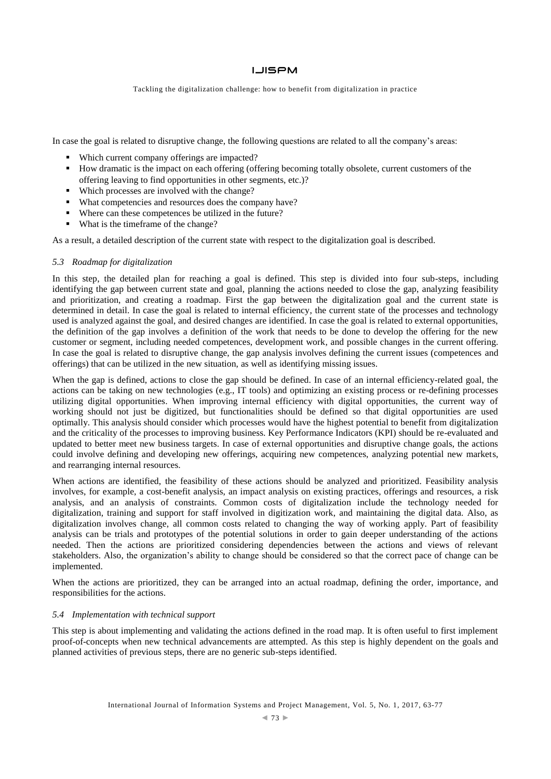Tackling the digitalization challenge: how to benefit from digitalization in practice

In case the goal is related to disruptive change, the following questions are related to all the company's areas:

- Which current company offerings are impacted?
- How dramatic is the impact on each offering (offering becoming totally obsolete, current customers of the offering leaving to find opportunities in other segments, etc.)?
- Which processes are involved with the change?
- What competencies and resources does the company have?
- Where can these competences be utilized in the future?
- What is the timeframe of the change?

As a result, a detailed description of the current state with respect to the digitalization goal is described.

#### *5.3 Roadmap for digitalization*

In this step, the detailed plan for reaching a goal is defined. This step is divided into four sub-steps, including identifying the gap between current state and goal, planning the actions needed to close the gap, analyzing feasibility and prioritization, and creating a roadmap. First the gap between the digitalization goal and the current state is determined in detail. In case the goal is related to internal efficiency, the current state of the processes and technology used is analyzed against the goal, and desired changes are identified. In case the goal is related to external opportunities, the definition of the gap involves a definition of the work that needs to be done to develop the offering for the new customer or segment, including needed competences, development work, and possible changes in the current offering. In case the goal is related to disruptive change, the gap analysis involves defining the current issues (competences and offerings) that can be utilized in the new situation, as well as identifying missing issues.

When the gap is defined, actions to close the gap should be defined. In case of an internal efficiency-related goal, the actions can be taking on new technologies (e.g., IT tools) and optimizing an existing process or re-defining processes utilizing digital opportunities. When improving internal efficiency with digital opportunities, the current way of working should not just be digitized, but functionalities should be defined so that digital opportunities are used optimally. This analysis should consider which processes would have the highest potential to benefit from digitalization and the criticality of the processes to improving business. Key Performance Indicators (KPI) should be re-evaluated and updated to better meet new business targets. In case of external opportunities and disruptive change goals, the actions could involve defining and developing new offerings, acquiring new competences, analyzing potential new markets, and rearranging internal resources.

When actions are identified, the feasibility of these actions should be analyzed and prioritized. Feasibility analysis involves, for example, a cost-benefit analysis, an impact analysis on existing practices, offerings and resources, a risk analysis, and an analysis of constraints. Common costs of digitalization include the technology needed for digitalization, training and support for staff involved in digitization work, and maintaining the digital data. Also, as digitalization involves change, all common costs related to changing the way of working apply. Part of feasibility analysis can be trials and prototypes of the potential solutions in order to gain deeper understanding of the actions needed. Then the actions are prioritized considering dependencies between the actions and views of relevant stakeholders. Also, the organization's ability to change should be considered so that the correct pace of change can be implemented.

When the actions are prioritized, they can be arranged into an actual roadmap, defining the order, importance, and responsibilities for the actions.

#### *5.4 Implementation with technical support*

This step is about implementing and validating the actions defined in the road map. It is often useful to first implement proof-of-concepts when new technical advancements are attempted. As this step is highly dependent on the goals and planned activities of previous steps, there are no generic sub-steps identified.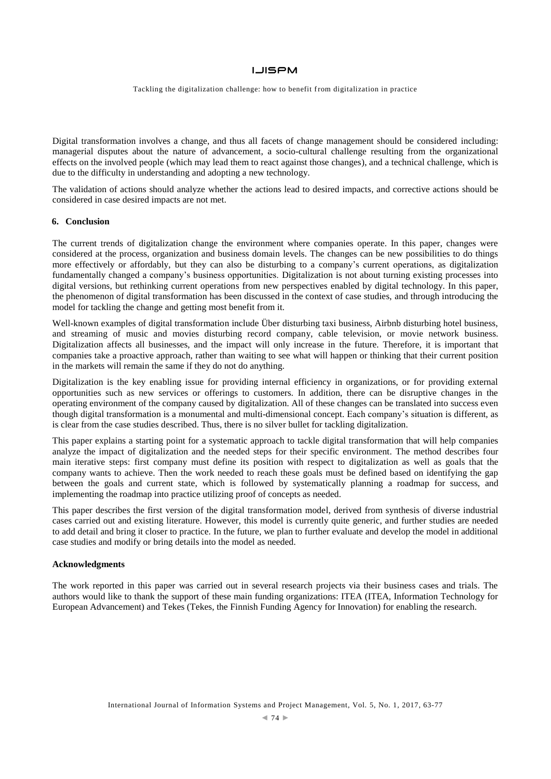Tackling the digitalization challenge: how to benefit from digitalization in practice

Digital transformation involves a change, and thus all facets of change management should be considered including: managerial disputes about the nature of advancement, a socio-cultural challenge resulting from the organizational effects on the involved people (which may lead them to react against those changes), and a technical challenge, which is due to the difficulty in understanding and adopting a new technology.

The validation of actions should analyze whether the actions lead to desired impacts, and corrective actions should be considered in case desired impacts are not met.

#### **6. Conclusion**

The current trends of digitalization change the environment where companies operate. In this paper, changes were considered at the process, organization and business domain levels. The changes can be new possibilities to do things more effectively or affordably, but they can also be disturbing to a company's current operations, as digitalization fundamentally changed a company's business opportunities. Digitalization is not about turning existing processes into digital versions, but rethinking current operations from new perspectives enabled by digital technology. In this paper, the phenomenon of digital transformation has been discussed in the context of case studies, and through introducing the model for tackling the change and getting most benefit from it.

Well-known examples of digital transformation include Über disturbing taxi business, Airbnb disturbing hotel business, and streaming of music and movies disturbing record company, cable television, or movie network business. Digitalization affects all businesses, and the impact will only increase in the future. Therefore, it is important that companies take a proactive approach, rather than waiting to see what will happen or thinking that their current position in the markets will remain the same if they do not do anything.

Digitalization is the key enabling issue for providing internal efficiency in organizations, or for providing external opportunities such as new services or offerings to customers. In addition, there can be disruptive changes in the operating environment of the company caused by digitalization. All of these changes can be translated into success even though digital transformation is a monumental and multi-dimensional concept. Each company's situation is different, as is clear from the case studies described. Thus, there is no silver bullet for tackling digitalization.

This paper explains a starting point for a systematic approach to tackle digital transformation that will help companies analyze the impact of digitalization and the needed steps for their specific environment. The method describes four main iterative steps: first company must define its position with respect to digitalization as well as goals that the company wants to achieve. Then the work needed to reach these goals must be defined based on identifying the gap between the goals and current state, which is followed by systematically planning a roadmap for success, and implementing the roadmap into practice utilizing proof of concepts as needed.

This paper describes the first version of the digital transformation model, derived from synthesis of diverse industrial cases carried out and existing literature. However, this model is currently quite generic, and further studies are needed to add detail and bring it closer to practice. In the future, we plan to further evaluate and develop the model in additional case studies and modify or bring details into the model as needed.

#### **Acknowledgments**

The work reported in this paper was carried out in several research projects via their business cases and trials. The authors would like to thank the support of these main funding organizations: ITEA (ITEA, Information Technology for European Advancement) and Tekes (Tekes, the Finnish Funding Agency for Innovation) for enabling the research.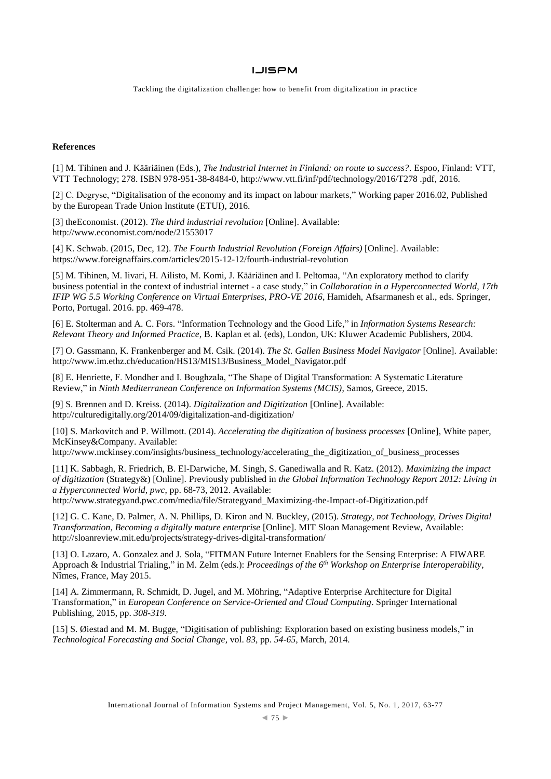Tackling the digitalization challenge: how to benefit from digitalization in practice

## **References**

[1] M. Tihinen and J. Kääriäinen (Eds.), *The Industrial Internet in Finland: on route to success?*. Espoo, Finland: VTT, VTT Technology; 278. ISBN 978-951-38-8484-0, [http://www.vtt.fi/inf/pdf/technology/2016/T278 .pdf,](http://www.vtt.fi/inf/pdf/technology/2016/T278%20.pdf) 2016.

[2] C. Degryse, "Digitalisation of the economy and its impact on labour markets," Working paper 2016.02, Published by the European Trade Union Institute (ETUI), 2016.

[3] theEconomist. (2012). *The third industrial revolution* [Online]. Available: <http://www.economist.com/node/21553017>

[4] K. Schwab. (2015, Dec, 12). *The Fourth Industrial Revolution (Foreign Affairs)* [Online]. Available: https://www.foreignaffairs.com/articles/2015-12-12/fourth-industrial-revolution

[5] M. Tihinen, M. Iivari, H. Ailisto, M. Komi, J. Kääriäinen and I. Peltomaa, "An exploratory method to clarify business potential in the context of industrial internet - a case study," in *Collaboration in a Hyperconnected World, 17th IFIP WG 5.5 Working Conference on Virtual Enterprises, PRO-VE 2016*, Hamideh, Afsarmanesh et al., eds. Springer, Porto, Portugal. 2016. pp. 469-478.

[6] E. Stolterman and A. C. Fors. "Information Technology and the Good Life," in *Information Systems Research: Relevant Theory and Informed Practice*, B. Kaplan et al. (eds), London, UK: Kluwer Academic Publishers, 2004.

[7] O. Gassmann, K. Frankenberger and M. Csik. (2014). *The St. Gallen Business Model Navigator* [Online]. Available: http://www.im.ethz.ch/education/HS13/MIS13/Business\_Model\_Navigator.pdf

[8] E. Henriette, F. Mondher and I. Boughzala, "The Shape of Digital Transformation: A Systematic Literature Review," in *Ninth Mediterranean Conference on Information Systems (MCIS)*, Samos, Greece, 2015.

[9] S. Brennen and D. Kreiss. (2014). *Digitalization and Digitization* [Online]. Available: http://culturedigitally.org/2014/09/digitalization-and-digitization/

[10] S. Markovitch and P. Willmott. (2014). *Accelerating the digitization of business processes* [Online], White paper, McKinsey&Company. Available:

http://www.mckinsey.com/insights/business\_technology/accelerating\_the\_digitization\_of\_business\_processes

[11] K. Sabbagh, R. Friedrich, B. El-Darwiche, M. Singh, S. Ganediwalla and R. Katz. (2012). *Maximizing the impact of digitization* (Strategy&) [Online]. Previously published in *the Global Information Technology Report 2012: Living in a Hyperconnected World, pwc*, pp. 68-73, 2012. Available:

http://www.strategyand.pwc.com/media/file/Strategyand\_Maximizing-the-Impact-of-Digitization.pdf

[12] G. C. Kane, D. Palmer, A. N. Phillips, D. Kiron and N. Buckley, (2015). *Strategy, not Technology, Drives Digital Transformation, Becoming a digitally mature enterprise* [Online]. MIT Sloan Management Review, Available: http://sloanreview.mit.edu/projects/strategy-drives-digital-transformation/

[13] O. Lazaro, A. Gonzalez and J. Sola, "FITMAN Future Internet Enablers for the Sensing Enterprise: A FIWARE Approach & Industrial Trialing," in M. Zelm (eds.): *Proceedings of the 6th Workshop on Enterprise Interoperability*, Nîmes, France, May 2015.

[14] A. Zimmermann, R. Schmidt, D. Jugel, and M. Möhring, "Adaptive Enterprise Architecture for Digital Transformation," in *European Conference on Service-Oriented and Cloud Computing*. Springer International Publishing, 2015, pp. *308-319*.

[15] S. Øiestad and M. M. Bugge, "Digitisation of publishing: Exploration based on existing business models," in *Technological Forecasting and Social Change*, vol. *83*, pp. *54-65,* March, 2014.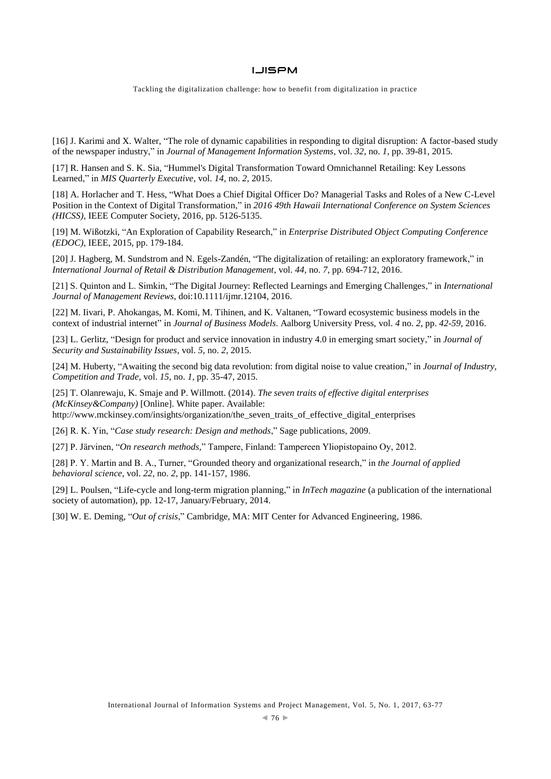Tackling the digitalization challenge: how to benefit from digitalization in practice

[16] J. Karimi and X. Walter, "The role of dynamic capabilities in responding to digital disruption: A factor-based study of the newspaper industry," in *Journal of Management Information Systems*, vol. *32*, no. *1*, pp. 39-81, 2015.

[17] R. Hansen and S. K. Sia, "Hummel's Digital Transformation Toward Omnichannel Retailing: Key Lessons Learned," in *MIS Quarterly Executive*, vol. *14,* no. *2*, 2015.

[18] A. Horlacher and T. Hess, "What Does a Chief Digital Officer Do? Managerial Tasks and Roles of a New C-Level Position in the Context of Digital Transformation," in *2016 49th Hawaii International Conference on System Sciences (HICSS)*, IEEE Computer Society, 2016, pp. 5126-5135.

[19] M. Wißotzki, "An Exploration of Capability Research," in *Enterprise Distributed Object Computing Conference (EDOC)*, IEEE, 2015, pp. 179-184.

[20] J. Hagberg, M. Sundstrom and N. Egels-Zandén, "The digitalization of retailing: an exploratory framework," in *International Journal of Retail & Distribution Management*, vol. *44*, no. *7*, pp. 694-712, 2016.

[21] S. Quinton and L. Simkin, "The Digital Journey: Reflected Learnings and Emerging Challenges," in *International Journal of Management Reviews*, doi:10.1111/ijmr.12104, 2016.

[22] M. Iivari, P. Ahokangas, M. Komi, M. Tihinen, and K. Valtanen, "Toward ecosystemic business models in the context of industrial internet" in *Journal of Business Models*. Aalborg University Press, vol. *4* no. *2*, pp. *42-59*, 2016.

[23] L. Gerlitz, "Design for product and service innovation in industry 4.0 in emerging smart society," in *Journal of Security and Sustainability Issues*, vol. *5*, no. *2*, 2015.

[24] M. Huberty, "Awaiting the second big data revolution: from digital noise to value creation," in *Journal of Industry, Competition and Trade*, vol. *15*, no. *1*, pp. 35-47, 2015.

[25] T. Olanrewaju, K. Smaje and P. Willmott. (2014). *The seven traits of effective digital enterprises (McKinsey&Company)* [Online]. White paper. Available: http://www.mckinsey.com/insights/organization/the\_seven\_traits\_of\_effective\_digital\_enterprises

[26] R. K. Yin, "*Case study research: Design and methods*," Sage publications, 2009.

[27] P. Järvinen, "*On research methods*," Tampere, Finland: Tampereen Yliopistopaino Oy, 2012.

[28] P. Y. Martin and B. A., Turner, "Grounded theory and organizational research," in *the Journal of applied behavioral science*, vol. *22*, no. *2*, pp. 141-157, 1986.

[29] L. Poulsen, "Life-cycle and long-term migration planning," in *InTech magazine* (a publication of the international society of automation), pp. 12-17, January/February, 2014.

[30] W. E. Deming, "*Out of crisis*," Cambridge, MA: MIT Center for Advanced Engineering, 1986.